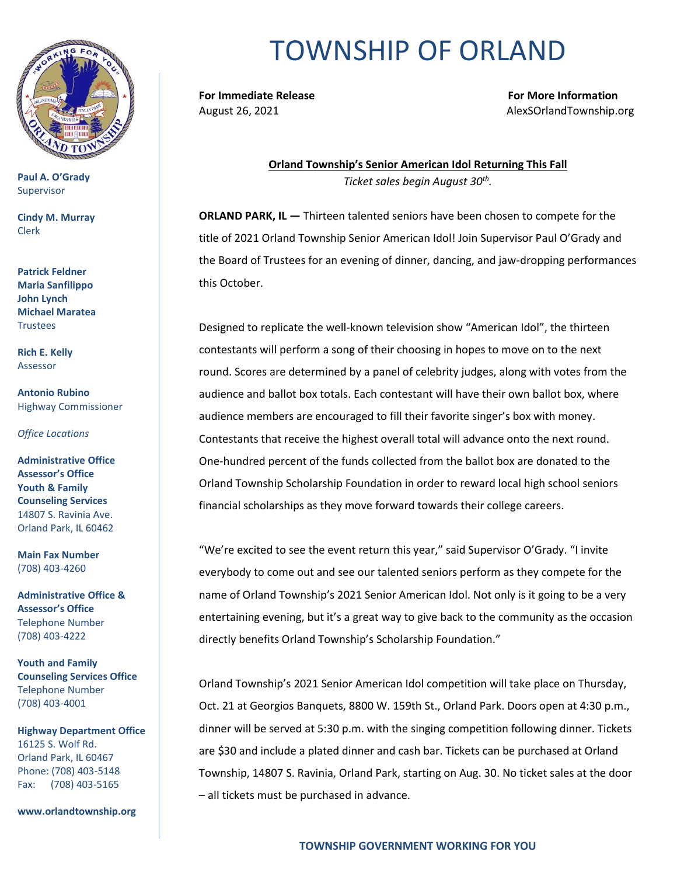

**Paul A. O'Grady** Supervisor

**Cindy M. Murray** Clerk

**Patrick Feldner Maria Sanfilippo John Lynch Michael Maratea Trustees** 

**Rich E. Kelly** Assessor

**Antonio Rubino** Highway Commissioner

*Office Locations*

**Administrative Office Assessor's Office Youth & Family Counseling Services** 14807 S. Ravinia Ave. Orland Park, IL 60462

**Main Fax Number**  (708) 403-4260

**Administrative Office & Assessor's Office**  Telephone Number (708) 403-4222

**Youth and Family Counseling Services Office**  Telephone Number (708) 403-4001

**Highway Department Office** 16125 S. Wolf Rd. Orland Park, IL 60467 Phone: (708) 403-5148 Fax: (708) 403-5165

**www.orlandtownship.org**

## TOWNSHIP OF ORLAND

**For Immediate Release For More Information**

August 26, 2021 **August 26, 2021 AlexSOrlandTownship.org** 

**Orland Township's Senior American Idol Returning This Fall** *Ticket sales begin August 30th .*

**ORLAND PARK, IL —** Thirteen talented seniors have been chosen to compete for the title of 2021 Orland Township Senior American Idol! Join Supervisor Paul O'Grady and the Board of Trustees for an evening of dinner, dancing, and jaw-dropping performances this October.

Designed to replicate the well-known television show "American Idol", the thirteen contestants will perform a song of their choosing in hopes to move on to the next round. Scores are determined by a panel of celebrity judges, along with votes from the audience and ballot box totals. Each contestant will have their own ballot box, where audience members are encouraged to fill their favorite singer's box with money. Contestants that receive the highest overall total will advance onto the next round. One-hundred percent of the funds collected from the ballot box are donated to the Orland Township Scholarship Foundation in order to reward local high school seniors financial scholarships as they move forward towards their college careers.

"We're excited to see the event return this year," said Supervisor O'Grady. "I invite everybody to come out and see our talented seniors perform as they compete for the name of Orland Township's 2021 Senior American Idol. Not only is it going to be a very entertaining evening, but it's a great way to give back to the community as the occasion directly benefits Orland Township's Scholarship Foundation."

Orland Township's 2021 Senior American Idol competition will take place on Thursday, Oct. 21 at Georgios Banquets, 8800 W. 159th St., Orland Park. Doors open at 4:30 p.m., dinner will be served at 5:30 p.m. with the singing competition following dinner. Tickets are \$30 and include a plated dinner and cash bar. Tickets can be purchased at Orland Township, 14807 S. Ravinia, Orland Park, starting on Aug. 30. No ticket sales at the door – all tickets must be purchased in advance.